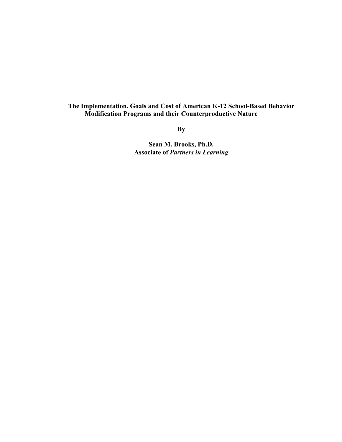## **The Implementation, Goals and Cost of American K-12 School-Based Behavior Modification Programs and their Counterproductive Nature**

**By** 

**Sean M. Brooks, Ph.D. Associate of** *Partners in Learning*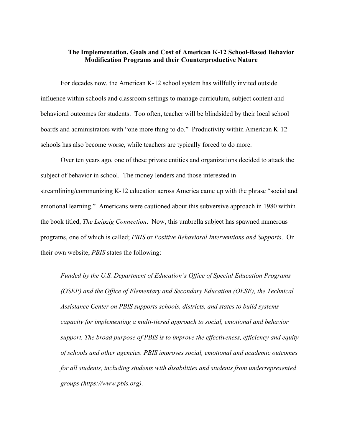## **The Implementation, Goals and Cost of American K-12 School-Based Behavior Modification Programs and their Counterproductive Nature**

For decades now, the American K-12 school system has willfully invited outside influence within schools and classroom settings to manage curriculum, subject content and behavioral outcomes for students. Too often, teacher will be blindsided by their local school boards and administrators with "one more thing to do." Productivity within American K-12 schools has also become worse, while teachers are typically forced to do more.

Over ten years ago, one of these private entities and organizations decided to attack the subject of behavior in school. The money lenders and those interested in streamlining/communizing K-12 education across America came up with the phrase "social and emotional learning." Americans were cautioned about this subversive approach in 1980 within the book titled, *The Leipzig Connection*. Now, this umbrella subject has spawned numerous programs, one of which is called; *PBIS* or *Positive Behavioral Interventions and Supports*. On their own website, *PBIS* states the following:

*Funded by the U.S. Department of Education's Office of Special Education Programs (OSEP) and the Office of Elementary and Secondary Education (OESE), the Technical Assistance Center on PBIS supports schools, districts, and states to build systems capacity for implementing a multi-tiered approach to social, emotional and behavior support. The broad purpose of PBIS is to improve the effectiveness, efficiency and equity of schools and other agencies. PBIS improves social, emotional and academic outcomes for all students, including students with disabilities and students from underrepresented groups (https://www.pbis.org).*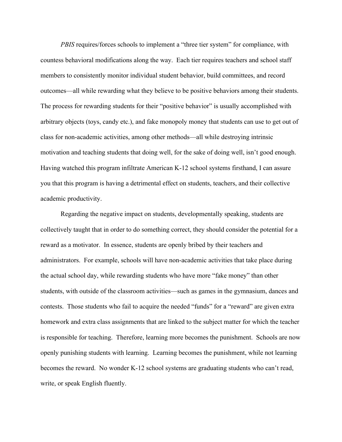*PBIS* requires/forces schools to implement a "three tier system" for compliance, with countess behavioral modifications along the way. Each tier requires teachers and school staff members to consistently monitor individual student behavior, build committees, and record outcomes—all while rewarding what they believe to be positive behaviors among their students. The process for rewarding students for their "positive behavior" is usually accomplished with arbitrary objects (toys, candy etc.), and fake monopoly money that students can use to get out of class for non-academic activities, among other methods—all while destroying intrinsic motivation and teaching students that doing well, for the sake of doing well, isn't good enough. Having watched this program infiltrate American K-12 school systems firsthand, I can assure you that this program is having a detrimental effect on students, teachers, and their collective academic productivity.

Regarding the negative impact on students, developmentally speaking, students are collectively taught that in order to do something correct, they should consider the potential for a reward as a motivator. In essence, students are openly bribed by their teachers and administrators. For example, schools will have non-academic activities that take place during the actual school day, while rewarding students who have more "fake money" than other students, with outside of the classroom activities—such as games in the gymnasium, dances and contests. Those students who fail to acquire the needed "funds" for a "reward" are given extra homework and extra class assignments that are linked to the subject matter for which the teacher is responsible for teaching. Therefore, learning more becomes the punishment. Schools are now openly punishing students with learning. Learning becomes the punishment, while not learning becomes the reward. No wonder K-12 school systems are graduating students who can't read, write, or speak English fluently.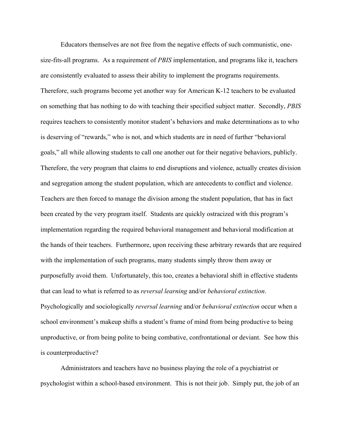Educators themselves are not free from the negative effects of such communistic, onesize-fits-all programs. As a requirement of *PBIS* implementation, and programs like it, teachers are consistently evaluated to assess their ability to implement the programs requirements. Therefore, such programs become yet another way for American K-12 teachers to be evaluated on something that has nothing to do with teaching their specified subject matter. Secondly, *PBIS* requires teachers to consistently monitor student's behaviors and make determinations as to who is deserving of "rewards," who is not, and which students are in need of further "behavioral goals," all while allowing students to call one another out for their negative behaviors, publicly. Therefore, the very program that claims to end disruptions and violence, actually creates division and segregation among the student population, which are antecedents to conflict and violence. Teachers are then forced to manage the division among the student population, that has in fact been created by the very program itself. Students are quickly ostracized with this program's implementation regarding the required behavioral management and behavioral modification at the hands of their teachers. Furthermore, upon receiving these arbitrary rewards that are required with the implementation of such programs, many students simply throw them away or purposefully avoid them. Unfortunately, this too, creates a behavioral shift in effective students that can lead to what is referred to as *reversal learning* and/or *behavioral extinction*. Psychologically and sociologically *reversal learning* and/or *behavioral extinction* occur when a school environment's makeup shifts a student's frame of mind from being productive to being unproductive, or from being polite to being combative, confrontational or deviant. See how this is counterproductive?

Administrators and teachers have no business playing the role of a psychiatrist or psychologist within a school-based environment. This is not their job. Simply put, the job of an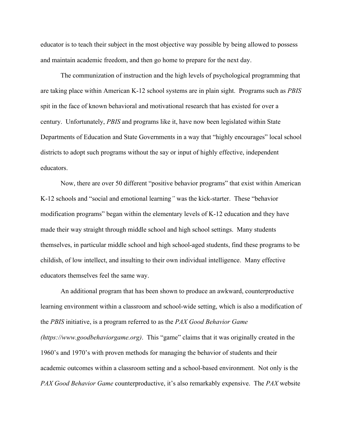educator is to teach their subject in the most objective way possible by being allowed to possess and maintain academic freedom, and then go home to prepare for the next day.

The communization of instruction and the high levels of psychological programming that are taking place within American K-12 school systems are in plain sight. Programs such as *PBIS* spit in the face of known behavioral and motivational research that has existed for over a century. Unfortunately, *PBIS* and programs like it, have now been legislated within State Departments of Education and State Governments in a way that "highly encourages" local school districts to adopt such programs without the say or input of highly effective, independent educators.

Now, there are over 50 different "positive behavior programs" that exist within American K-12 schools and "social and emotional learning*"* was the kick-starter. These "behavior modification programs" began within the elementary levels of K-12 education and they have made their way straight through middle school and high school settings. Many students themselves, in particular middle school and high school-aged students, find these programs to be childish, of low intellect, and insulting to their own individual intelligence. Many effective educators themselves feel the same way.

An additional program that has been shown to produce an awkward, counterproductive learning environment within a classroom and school-wide setting, which is also a modification of the *PBIS* initiative, is a program referred to as the *PAX Good Behavior Game (https://www.goodbehaviorgame.org)*. This "game" claims that it was originally created in the 1960's and 1970's with proven methods for managing the behavior of students and their academic outcomes within a classroom setting and a school-based environment. Not only is the *PAX Good Behavior Game* counterproductive, it's also remarkably expensive. The *PAX* website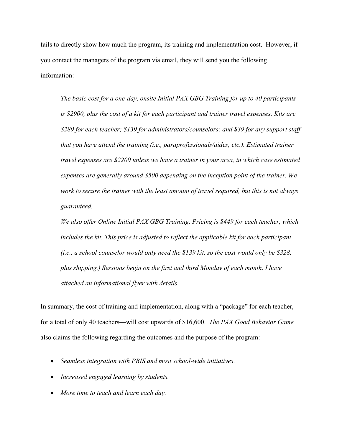fails to directly show how much the program, its training and implementation cost. However, if you contact the managers of the program via email, they will send you the following information:

*The basic cost for a one-day, onsite Initial PAX GBG Training for up to 40 participants is \$2900, plus the cost of a kit for each participant and trainer travel expenses. Kits are \$289 for each teacher; \$139 for administrators/counselors; and \$39 for any support staff that you have attend the training (i.e., paraprofessionals/aides, etc.). Estimated trainer travel expenses are \$2200 unless we have a trainer in your area, in which case estimated expenses are generally around \$500 depending on the inception point of the trainer. We work to secure the trainer with the least amount of travel required, but this is not always guaranteed.*

*We also offer Online Initial PAX GBG Training. Pricing is \$449 for each teacher, which includes the kit. This price is adjusted to reflect the applicable kit for each participant (i.e., a school counselor would only need the \$139 kit, so the cost would only be \$328, plus shipping.) Sessions begin on the first and third Monday of each month. I have attached an informational flyer with details.*

In summary, the cost of training and implementation, along with a "package" for each teacher, for a total of only 40 teachers—will cost upwards of \$16,600. *The PAX Good Behavior Game* also claims the following regarding the outcomes and the purpose of the program:

- *Seamless integration with PBIS and most school-wide initiatives.*
- *Increased engaged learning by students.*
- *More time to teach and learn each day.*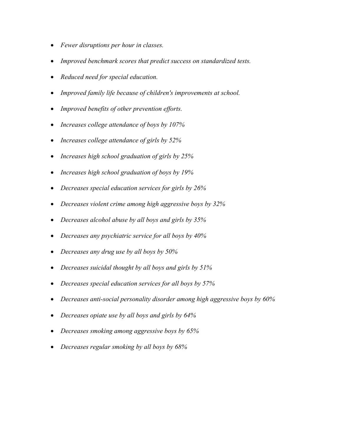- *Fewer disruptions per hour in classes.*
- *Improved benchmark scores that predict success on standardized tests.*
- *Reduced need for special education.*
- *Improved family life because of children's improvements at school.*
- *Improved benefits of other prevention efforts.*
- *Increases college attendance of boys by 107%*
- *Increases college attendance of girls by 52%*
- *Increases high school graduation of girls by 25%*
- *Increases high school graduation of boys by 19%*
- *Decreases special education services for girls by 26%*
- *Decreases violent crime among high aggressive boys by 32%*
- *Decreases alcohol abuse by all boys and girls by 35%*
- *Decreases any psychiatric service for all boys by 40%*
- *Decreases any drug use by all boys by 50%*
- *Decreases suicidal thought by all boys and girls by 51%*
- *Decreases special education services for all boys by 57%*
- *Decreases anti-social personality disorder among high aggressive boys by 60%*
- *Decreases opiate use by all boys and girls by 64%*
- *Decreases smoking among aggressive boys by 65%*
- *Decreases regular smoking by all boys by 68%*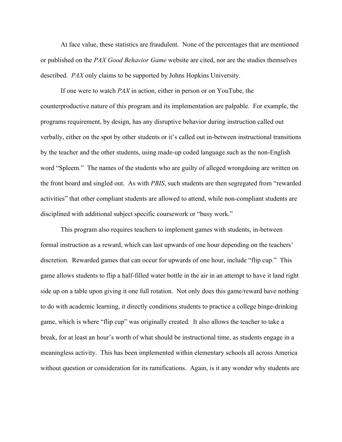At face value, these statistics are fraudulent. None of the percentages that are mentioned or published on the *PAX Good Behavior Game* website are cited, nor are the studies themselves described. *PAX* only claims to be supported by Johns Hopkins University.

If one were to watch *PAX* in action, either in person or on YouTube, the counterproductive nature of this program and its implementation are palpable. For example, the programs requirement, by design, has any disruptive behavior during instruction called out verbally, either on the spot by other students or it's called out in-between instructional transitions by the teacher and the other students, using made-up coded language such as the non-English word "Spleem." The names of the students who are guilty of alleged wrongdoing are written on the front board and singled out. As with *PBIS*, such students are then segregated from "rewarded activities" that other compliant students are allowed to attend, while non-compliant students are disciplined with additional subject specific coursework or "busy work."

This program also requires teachers to implement games with students, in-between formal instruction as a reward, which can last upwards of one hour depending on the teachers' discretion. Rewarded games that can occur for upwards of one hour, include "flip cup." This game allows students to flip a half-filled water bottle in the air in an attempt to have it land right side up on a table upon giving it one full rotation. Not only does this game/reward have nothing to do with academic learning, it directly conditions students to practice a college binge-drinking game, which is where "flip cup" was originally created. It also allows the teacher to take a break, for at least an hour's worth of what should be instructional time, as students engage in a meaningless activity. This has been implemented within elementary schools all across America without question or consideration for its ramifications. Again, is it any wonder why students are